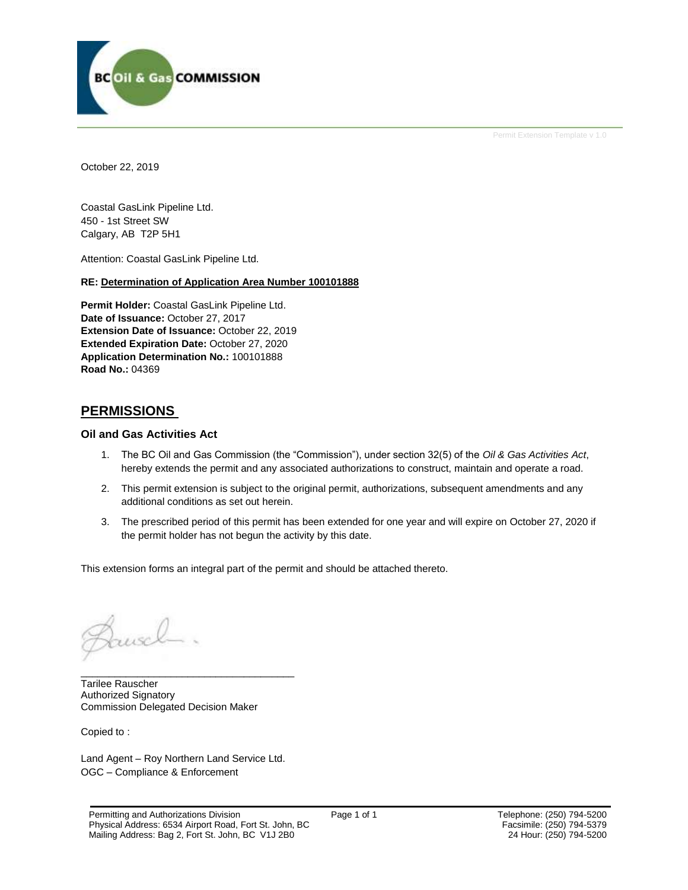

Permit Extension Template v 1.0

October 22, 2019

Coastal GasLink Pipeline Ltd. 450 - 1st Street SW Calgary, AB T2P 5H1

Attention: Coastal GasLink Pipeline Ltd.

### **RE: Determination of Application Area Number 100101888**

**Permit Holder:** Coastal GasLink Pipeline Ltd. Date of Issuance: October 27, 2017 **Extension Date of Issuance:** October 22, 2019 **Extended Expiration Date:** October 27, 2020 **Application Determination No.:** 100101888 **Road No.:** 04369

### **PERMISSIONS**

### **Oil and Gas Activities Act**

- 1. The BC Oil and Gas Commission (the "Commission"), under section 32(5) of the *Oil & Gas Activities Act*, hereby extends the permit and any associated authorizations to construct, maintain and operate a road.
- 2. This permit extension is subject to the original permit, authorizations, subsequent amendments and any additional conditions as set out herein.
- 3. The prescribed period of this permit has been extended for one year and will expire on October 27, 2020 if the permit holder has not begun the activity by this date.

This extension forms an integral part of the permit and should be attached thereto.

usel

Tarilee Rauscher Authorized Signatory Commission Delegated Decision Maker

Copied to :

Land Agent – Roy Northern Land Service Ltd. OGC – Compliance & Enforcement

\_\_\_\_\_\_\_\_\_\_\_\_\_\_\_\_\_\_\_\_\_\_\_\_\_\_\_\_\_\_\_\_\_\_\_\_\_\_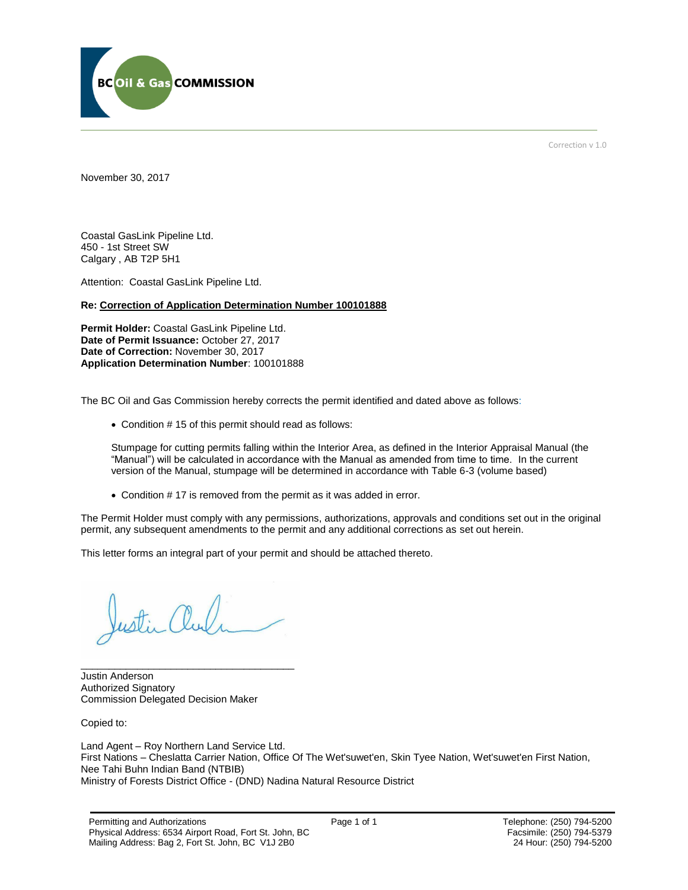

Correction v 1.0

November 30, 2017

Coastal GasLink Pipeline Ltd. 450 - 1st Street SW Calgary , AB T2P 5H1

Attention: Coastal GasLink Pipeline Ltd.

#### **Re: Correction of Application Determination Number 100101888**

**Permit Holder:** Coastal GasLink Pipeline Ltd. **Date of Permit Issuance:** October 27, 2017 **Date of Correction:** November 30, 2017 **Application Determination Number**: 100101888

The BC Oil and Gas Commission hereby corrects the permit identified and dated above as follows:

Condition # 15 of this permit should read as follows:

Stumpage for cutting permits falling within the Interior Area, as defined in the Interior Appraisal Manual (the "Manual") will be calculated in accordance with the Manual as amended from time to time. In the current version of the Manual, stumpage will be determined in accordance with Table 6-3 (volume based)

Condition # 17 is removed from the permit as it was added in error.

The Permit Holder must comply with any permissions, authorizations, approvals and conditions set out in the original permit, any subsequent amendments to the permit and any additional corrections as set out herein.

This letter forms an integral part of your permit and should be attached thereto.

\_\_\_\_\_\_\_\_\_\_\_\_\_\_\_\_\_\_\_\_\_\_\_\_\_\_\_\_\_\_\_\_\_\_\_\_\_\_ Justin Anderson Authorized Signatory Commission Delegated Decision Maker

Copied to:

Land Agent – Roy Northern Land Service Ltd. First Nations – Cheslatta Carrier Nation, Office Of The Wet'suwet'en, Skin Tyee Nation, Wet'suwet'en First Nation, Nee Tahi Buhn Indian Band (NTBIB) Ministry of Forests District Office - (DND) Nadina Natural Resource District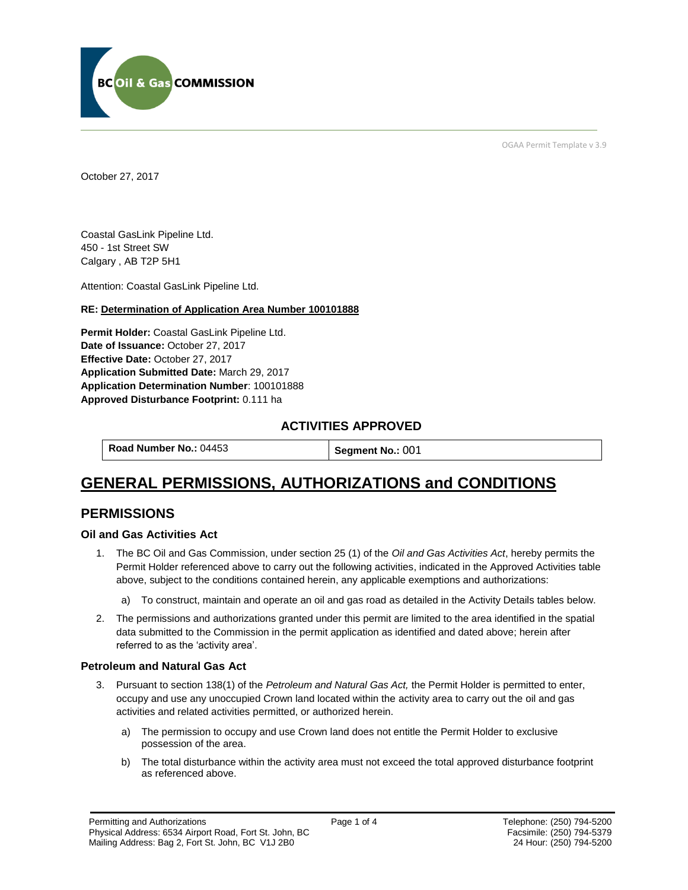

OGAA Permit Template v 3.9

October 27, 2017

Coastal GasLink Pipeline Ltd. 450 - 1st Street SW Calgary , AB T2P 5H1

[Attention:](#page-2-0) Coastal GasLink Pipeline Ltd.

### **RE: Determination of Application Area Number 100101888**

**[Permit Holder:](#page-2-0)** Coastal GasLink Pipeline Ltd. **[Date of Issuance:](#page-2-0)** October 27, 2017 **[Effective Date:](#page-2-1)** October 27, 2017 **[Application Submitted Date:](#page-2-0)** March 29, 2017 **[Application Determination Number](#page-2-0)**: 100101888 **Approved Disturbance Footprint:** 0.111 ha

### **ACTIVITIES APPROVED**

**[Road Number No.:](#page-2-0) 04453 [Segment No.:](https://bi.bcogc.ca/Application%20Processing/Interactive%20Reports/(BIL-041)%20AMS%20Decision%20Summary.aspx) 001** 

# **GENERAL PERMISSIONS, AUTHORIZATIONS and CONDITIONS**

### **PERMISSIONS**

### **Oil and Gas Activities Act**

- <span id="page-2-0"></span>1. The BC Oil and Gas Commission, under section 25 (1) of the *Oil and Gas Activities Act*, hereby permits the Permit Holder referenced above to carry out the following activities, indicated in the Approved Activities table above, subject to the conditions contained herein, any applicable exemptions and authorizations:
	- a) To construct, maintain and operate an oil and gas road as detailed in the Activity Details tables below.
- <span id="page-2-1"></span>2. The permissions and authorizations granted under this permit are limited to the area identified in the spatial data submitted to the Commission in the permit application as identified and dated above; herein after referred to as the 'activity area'.

### **Petroleum and Natural Gas Act**

- 3. Pursuant to section 138(1) of the *Petroleum and Natural Gas Act,* the Permit Holder is permitted to enter, occupy and use any unoccupied Crown land located within the activity area to carry out the oil and gas activities and related activities permitted, or authorized herein.
	- a) The permission to occupy and use Crown land does not entitle the Permit Holder to exclusive possession of the area.
	- b) The total disturbance within the activity area must not exceed the total approved disturbance footprint as referenced above.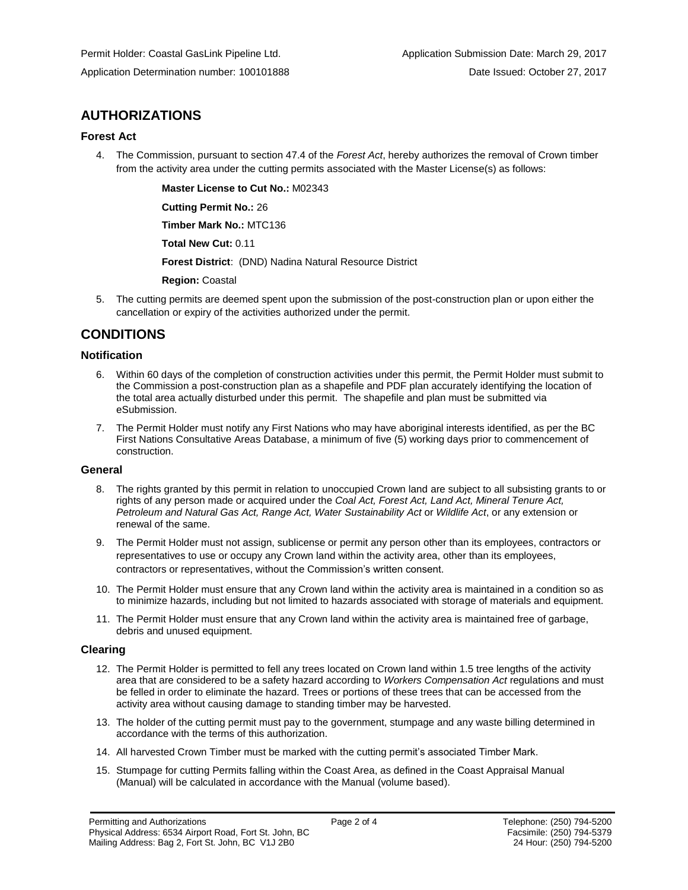### **AUTHORIZATIONS**

### **Forest Act**

4. The Commission, pursuant to section 47.4 of the *Forest Act*, hereby authorizes the removal of Crown timber from the activity area under the cutting permits associated with the Master License(s) as follows:

**[Master License to Cut No.:](#page-2-0)** M02343

**[Cutting Permit No.:](#page-2-0)** 26

**[Timber Mark No.:](#page-2-0)** MTC136

**[Total New Cut:](#page-2-0)** 0.11

**[Forest District](https://ams-crd.bcogc.ca/crd/)**: (DND) Nadina Natural Resource District

**[Region:](#page-2-1)** Coastal

5. The cutting permits are deemed spent upon the submission of the post-construction plan or upon either the cancellation or expiry of the activities authorized under the permit.

### **CONDITIONS**

### **Notification**

- 6. Within 60 days of the completion of construction activities under this permit, the Permit Holder must submit to the Commission a post-construction plan as a shapefile and PDF plan accurately identifying the location of the total area actually disturbed under this permit. The shapefile and plan must be submitted via eSubmission.
- 7. The Permit Holder must notify any First Nations who may have aboriginal interests identified, as per the BC First Nations Consultative Areas Database, a minimum of five (5) working days prior to commencement of construction.

### **General**

- 8. The rights granted by this permit in relation to unoccupied Crown land are subject to all subsisting grants to or rights of any person made or acquired under the *Coal Act, Forest Act, Land Act, Mineral Tenure Act, Petroleum and Natural Gas Act, Range Act, Water Sustainability Act* or *Wildlife Act*, or any extension or renewal of the same.
- 9. The Permit Holder must not assign, sublicense or permit any person other than its employees, contractors or representatives to use or occupy any Crown land within the activity area, other than its employees, contractors or representatives, without the Commission's written consent.
- 10. The Permit Holder must ensure that any Crown land within the activity area is maintained in a condition so as to minimize hazards, including but not limited to hazards associated with storage of materials and equipment.
- 11. The Permit Holder must ensure that any Crown land within the activity area is maintained free of garbage, debris and unused equipment.

### **Clearing**

- 12. The Permit Holder is permitted to fell any trees located on Crown land within 1.5 tree lengths of the activity area that are considered to be a safety hazard according to *Workers Compensation Act* regulations and must be felled in order to eliminate the hazard. Trees or portions of these trees that can be accessed from the activity area without causing damage to standing timber may be harvested.
- 13. The holder of the cutting permit must pay to the government, stumpage and any waste billing determined in accordance with the terms of this authorization.
- 14. All harvested Crown Timber must be marked with the cutting permit's associated Timber Mark.
- 15. Stumpage for cutting Permits falling within the Coast Area, as defined in the Coast Appraisal Manual (Manual) will be calculated in accordance with the Manual (volume based).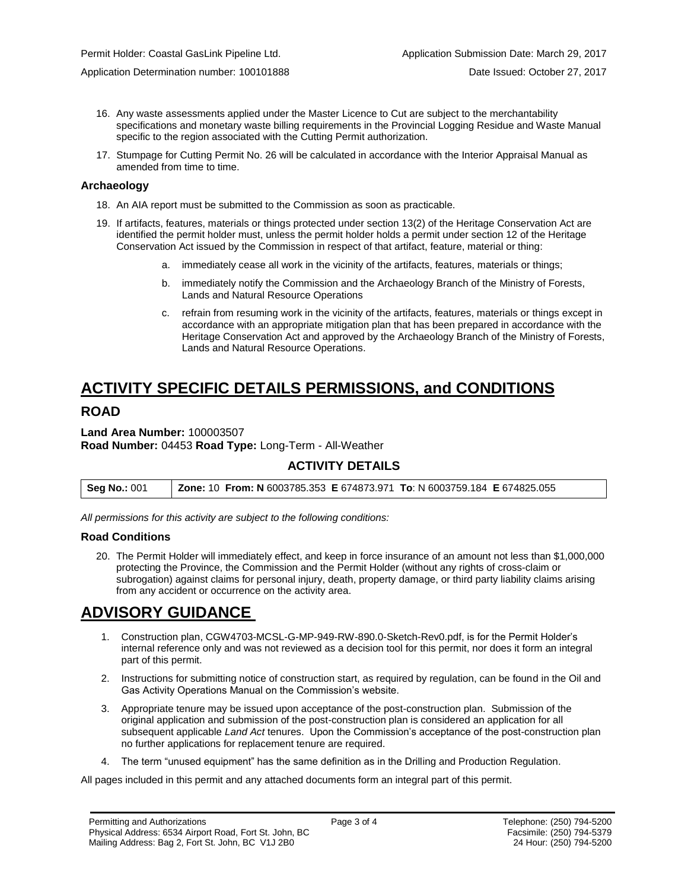- 16. Any waste assessments applied under the Master Licence to Cut are subject to the merchantability specifications and monetary waste billing requirements in the Provincial Logging Residue and Waste Manual specific to the region associated with the Cutting Permit authorization.
- 17. Stumpage for Cutting Permit No. 26 will be calculated in accordance with the Interior Appraisal Manual as amended from time to time.

#### **Archaeology**

- 18. An AIA report must be submitted to the Commission as soon as practicable.
- 19. If artifacts, features, materials or things protected under section 13(2) of the Heritage Conservation Act are identified the permit holder must, unless the permit holder holds a permit under section 12 of the Heritage Conservation Act issued by the Commission in respect of that artifact, feature, material or thing:
	- a. immediately cease all work in the vicinity of the artifacts, features, materials or things;
	- b. immediately notify the Commission and the Archaeology Branch of the Ministry of Forests, Lands and Natural Resource Operations
	- c. refrain from resuming work in the vicinity of the artifacts, features, materials or things except in accordance with an appropriate mitigation plan that has been prepared in accordance with the Heritage Conservation Act and approved by the Archaeology Branch of the Ministry of Forests, Lands and Natural Resource Operations.

# **ACTIVITY SPECIFIC DETAILS PERMISSIONS, and CONDITIONS**

### **ROAD**

#### **Land Area Number:** 100003507 **Road Number:** 04453 **Road Type:** Long-Term - All-Weather

### **ACTIVITY DETAILS**

| <b>Zone: 10 From: N</b> 6003785.353 E 674873.971 To: N 6003759.184 E 674825.055<br>Seg No.: 001 |  |
|-------------------------------------------------------------------------------------------------|--|
|-------------------------------------------------------------------------------------------------|--|

*All permissions for this activity are subject to the following conditions:*

### **Road Conditions**

20. The Permit Holder will immediately effect, and keep in force insurance of an amount not less than \$1,000,000 protecting the Province, the Commission and the Permit Holder (without any rights of cross-claim or subrogation) against claims for personal injury, death, property damage, or third party liability claims arising from any accident or occurrence on the activity area.

## **ADVISORY GUIDANCE**

- 1. Construction plan, CGW4703-MCSL-G-MP-949-RW-890.0-Sketch-Rev0.pdf, is for the Permit Holder's internal reference only and was not reviewed as a decision tool for this permit, nor does it form an integral part of this permit.
- 2. Instructions for submitting notice of construction start, as required by regulation, can be found in the Oil and Gas Activity Operations Manual on the Commission's website.
- 3. Appropriate tenure may be issued upon acceptance of the post-construction plan. Submission of the original application and submission of the post-construction plan is considered an application for all subsequent applicable *Land Act* tenures. Upon the Commission's acceptance of the post-construction plan no further applications for replacement tenure are required.
- 4. The term "unused equipment" has the same definition as in the Drilling and Production Regulation.

All pages included in this permit and any attached documents form an integral part of this permit.